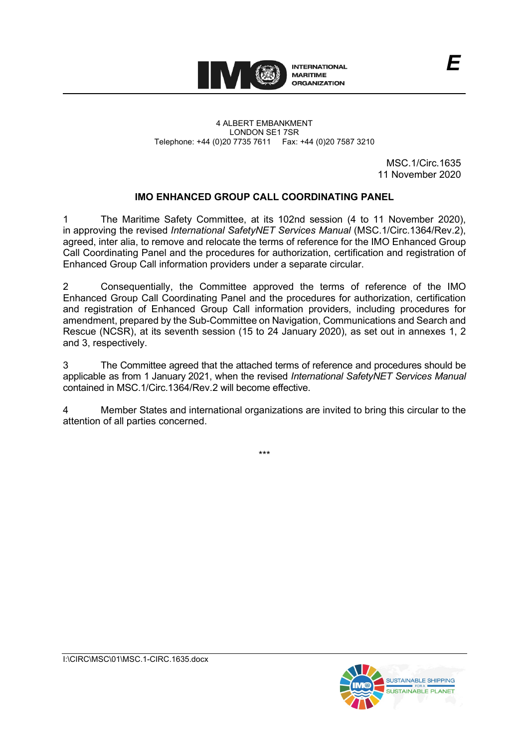

4 ALBERT EMBANKMENT LONDON SE1 7SR Telephone: +44 (0)20 7735 7611 Fax: +44 (0)20 7587 3210

> MSC.1/Circ.1635 11 November 2020

# **IMO ENHANCED GROUP CALL COORDINATING PANEL**

1 The Maritime Safety Committee, at its 102nd session (4 to 11 November 2020), in approving the revised *International SafetyNET Services Manual* (MSC.1/Circ.1364/Rev.2), agreed, inter alia, to remove and relocate the terms of reference for the IMO Enhanced Group Call Coordinating Panel and the procedures for authorization, certification and registration of Enhanced Group Call information providers under a separate circular.

2 Consequentially, the Committee approved the terms of reference of the IMO Enhanced Group Call Coordinating Panel and the procedures for authorization, certification and registration of Enhanced Group Call information providers, including procedures for amendment, prepared by the Sub-Committee on Navigation, Communications and Search and Rescue (NCSR), at its seventh session (15 to 24 January 2020), as set out in annexes 1, 2 and 3, respectively.

3 The Committee agreed that the attached terms of reference and procedures should be applicable as from 1 January 2021, when the revised *International SafetyNET Services Manual* contained in MSC.1/Circ.1364/Rev.2 will become effective.

4 Member States and international organizations are invited to bring this circular to the attention of all parties concerned.

\*\*\*

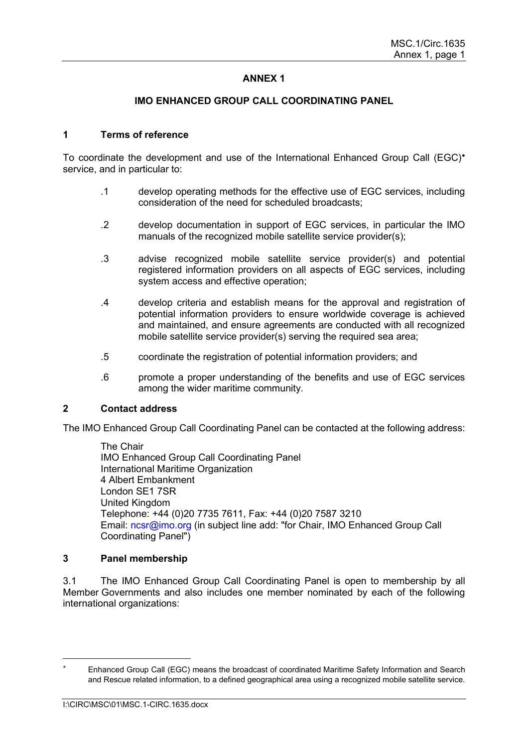# **ANNEX 1**

### **IMO ENHANCED GROUP CALL COORDINATING PANEL**

#### **1 Terms of reference**

To coordinate the development and use of the International Enhanced Group Call (EGC)[∗](#page-2-0) service, and in particular to:

- .1 develop operating methods for the effective use of EGC services, including consideration of the need for scheduled broadcasts;
- .2 develop documentation in support of EGC services, in particular the IMO manuals of the recognized mobile satellite service provider(s);
- .3 advise recognized mobile satellite service provider(s) and potential registered information providers on all aspects of EGC services, including system access and effective operation;
- .4 develop criteria and establish means for the approval and registration of potential information providers to ensure worldwide coverage is achieved and maintained, and ensure agreements are conducted with all recognized mobile satellite service provider(s) serving the required sea area;
- .5 coordinate the registration of potential information providers; and
- .6 promote a proper understanding of the benefits and use of EGC services among the wider maritime community.

#### **2 Contact address**

The IMO Enhanced Group Call Coordinating Panel can be contacted at the following address:

The Chair IMO Enhanced Group Call Coordinating Panel International Maritime Organization 4 Albert Embankment London SE1 7SR United Kingdom Telephone: +44 (0)20 7735 7611, Fax: +44 (0)20 7587 3210 Email: ncsr@imo.org (in subject line add: "for Chair, IMO Enhanced Group Call Coordinating Panel")

## **3 Panel membership**

3.1 The IMO Enhanced Group Call Coordinating Panel is open to membership by all Member Governments and also includes one member nominated by each of the following international organizations:

<span id="page-2-0"></span>Enhanced Group Call (EGC) means the broadcast of coordinated Maritime Safety Information and Search and Rescue related information, to a defined geographical area using a recognized mobile satellite service.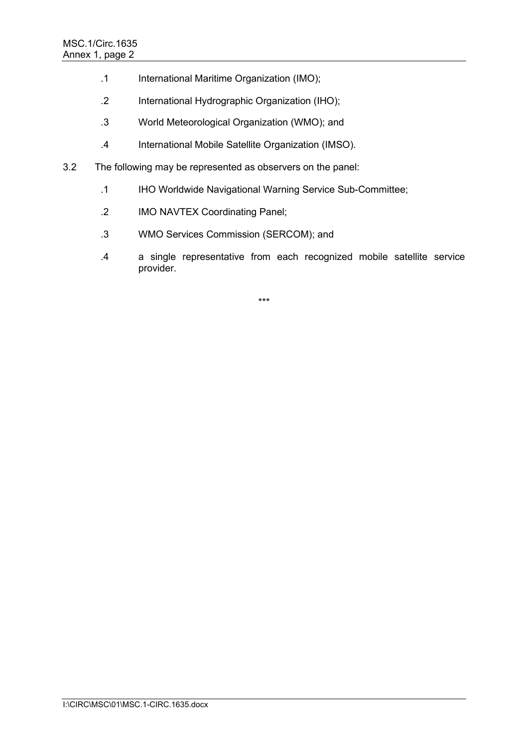- .1 International Maritime Organization (IMO);
- .2 International Hydrographic Organization (IHO);
- .3 World Meteorological Organization (WMO); and
- .4 International Mobile Satellite Organization (IMSO).
- 3.2 The following may be represented as observers on the panel:
	- .1 IHO Worldwide Navigational Warning Service Sub-Committee;
	- .2 IMO NAVTEX Coordinating Panel;
	- .3 WMO Services Commission (SERCOM); and
	- .4 a single representative from each recognized mobile satellite service provider.

\*\*\*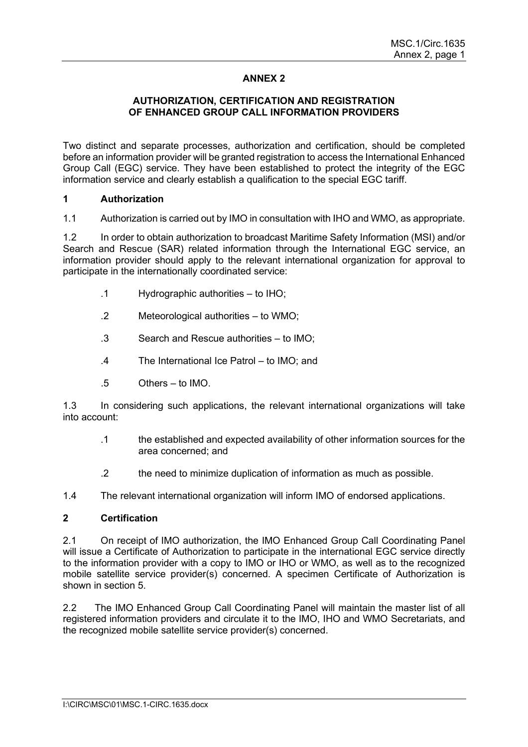# **ANNEX 2**

## **AUTHORIZATION, CERTIFICATION AND REGISTRATION OF ENHANCED GROUP CALL INFORMATION PROVIDERS**

Two distinct and separate processes, authorization and certification, should be completed before an information provider will be granted registration to access the International Enhanced Group Call (EGC) service. They have been established to protect the integrity of the EGC information service and clearly establish a qualification to the special EGC tariff.

## **1 Authorization**

1.1 Authorization is carried out by IMO in consultation with IHO and WMO, as appropriate.

1.2 In order to obtain authorization to broadcast Maritime Safety Information (MSI) and/or Search and Rescue (SAR) related information through the International EGC service, an information provider should apply to the relevant international organization for approval to participate in the internationally coordinated service:

- .1 Hydrographic authorities to IHO;
- .2 Meteorological authorities to WMO;
- .3 Search and Rescue authorities to IMO;
- .4 The International Ice Patrol to IMO; and
- .5 Others to IMO.

1.3 In considering such applications, the relevant international organizations will take into account:

- .1 the established and expected availability of other information sources for the area concerned; and
- .2 the need to minimize duplication of information as much as possible.

1.4 The relevant international organization will inform IMO of endorsed applications.

## **2 Certification**

2.1 On receipt of IMO authorization, the IMO Enhanced Group Call Coordinating Panel will issue a Certificate of Authorization to participate in the international EGC service directly to the information provider with a copy to IMO or IHO or WMO, as well as to the recognized mobile satellite service provider(s) concerned. A specimen Certificate of Authorization is shown in section 5.

2.2 The IMO Enhanced Group Call Coordinating Panel will maintain the master list of all registered information providers and circulate it to the IMO, IHO and WMO Secretariats, and the recognized mobile satellite service provider(s) concerned.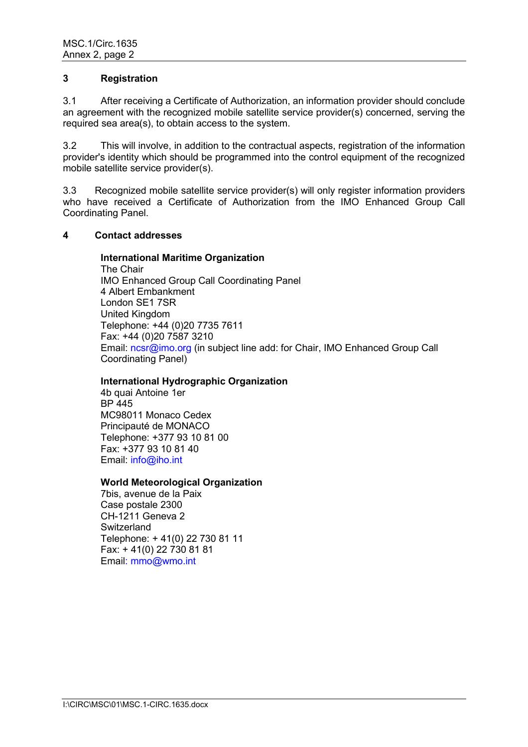## **3 Registration**

3.1 After receiving a Certificate of Authorization, an information provider should conclude an agreement with the recognized mobile satellite service provider(s) concerned, serving the required sea area(s), to obtain access to the system.

3.2 This will involve, in addition to the contractual aspects, registration of the information provider's identity which should be programmed into the control equipment of the recognized mobile satellite service provider(s).

3.3 Recognized mobile satellite service provider(s) will only register information providers who have received a Certificate of Authorization from the IMO Enhanced Group Call Coordinating Panel.

### **4 Contact addresses**

#### **International Maritime Organization**

The Chair IMO Enhanced Group Call Coordinating Panel 4 Albert Embankment London SE1 7SR United Kingdom Telephone: +44 (0)20 7735 7611 Fax: +44 (0)20 7587 3210 Email: ncsr@imo.org (in subject line add: for Chair, IMO Enhanced Group Call Coordinating Panel)

#### **International Hydrographic Organization**

4b quai Antoine 1er BP 445 MC98011 Monaco Cedex Principauté de MONACO Telephone: +377 93 10 81 00 Fax: +377 93 10 81 40 Email: info@iho.int

#### **World Meteorological Organization**

7bis, avenue de la Paix Case postale 2300 CH-1211 Geneva 2 **Switzerland** Telephone: + 41(0) 22 730 81 11 Fax: + 41(0) 22 730 81 81 Email: mmo@wmo.int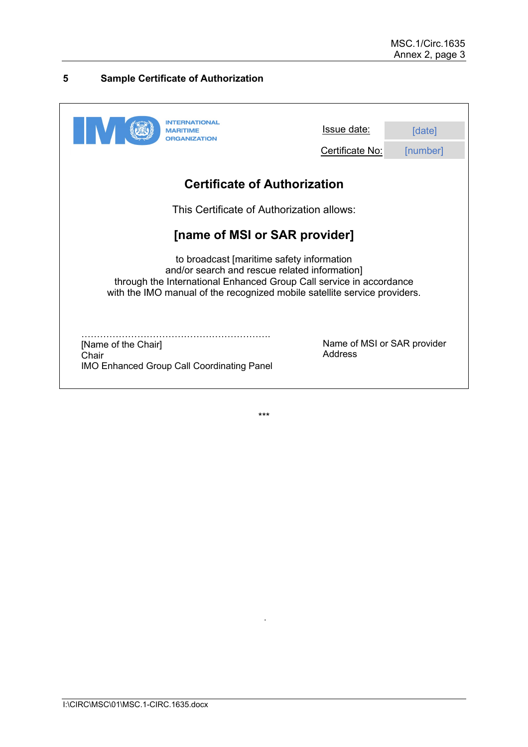# **5 Sample Certificate of Authorization**

| MARITIME<br><b>ORGANIZATION</b>                                                                                                                                                                                                                | Issue date:<br>Certificate No:         | [date]<br>[number] |
|------------------------------------------------------------------------------------------------------------------------------------------------------------------------------------------------------------------------------------------------|----------------------------------------|--------------------|
| <b>Certificate of Authorization</b>                                                                                                                                                                                                            |                                        |                    |
| This Certificate of Authorization allows:                                                                                                                                                                                                      |                                        |                    |
| [name of MSI or SAR provider]                                                                                                                                                                                                                  |                                        |                    |
| to broadcast [maritime safety information<br>and/or search and rescue related information]<br>through the International Enhanced Group Call service in accordance<br>with the IMO manual of the recognized mobile satellite service providers. |                                        |                    |
| [Name of the Chair]<br>Chair<br><b>IMO Enhanced Group Call Coordinating Panel</b>                                                                                                                                                              | Name of MSI or SAR provider<br>Address |                    |

\*\*\*

 $\ddot{\phantom{a}}$